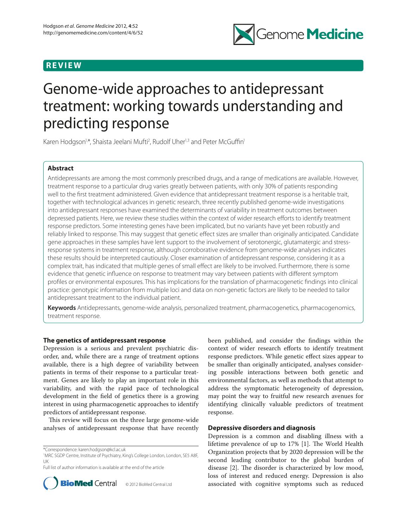# **REVIEW**



# Genome-wide approaches to antidepressant treatment: working towards understanding and predicting response

Karen Hodgson<sup>1,\*</sup>, Shaista Jeelani Mufti<sup>2</sup>, Rudolf Uher<sup>1,3</sup> and Peter McGuffin<sup>1</sup>

# **Abstract**

Antidepressants are among the most commonly prescribed drugs, and a range of medications are available. However, treatment response to a particular drug varies greatly between patients, with only 30% of patients responding well to the first treatment administered. Given evidence that antidepressant treatment response is a heritable trait, together with technological advances in genetic research, three recently published genome-wide investigations into antidepressant responses have examined the determinants of variability in treatment outcomes between depressed patients. Here, we review these studies within the context of wider research efforts to identify treatment response predictors. Some interesting genes have been implicated, but no variants have yet been robustly and reliably linked to response. This may suggest that genetic effect sizes are smaller than originally anticipated. Candidate gene approaches in these samples have lent support to the involvement of serotonergic, glutamatergic and stressresponse systems in treatment response, although corroborative evidence from genome-wide analyses indicates these results should be interpreted cautiously. Closer examination of antidepressant response, considering it as a complex trait, has indicated that multiple genes of small effect are likely to be involved. Furthermore, there is some evidence that genetic influence on response to treatment may vary between patients with different symptom profiles or environmental exposures. This has implications for the translation of pharmacogenetic findings into clinical practice: genotypic information from multiple loci and data on non-genetic factors are likely to be needed to tailor antidepressant treatment to the individual patient.

**Keywords** Antidepressants, genome-wide analysis, personalized treatment, pharmacogenetics, pharmacogenomics, treatment response.

# **The genetics of antidepressant response**

Depression is a serious and prevalent psychiatric disorder, and, while there are a range of treatment options available, there is a high degree of variability between patients in terms of their response to a particular treatment. Genes are likely to play an important role in this variability, and with the rapid pace of technological development in the field of genetics there is a growing interest in using pharmacogenetic approaches to identify predictors of antidepressant response.

This review will focus on the three large genome-wide analyses of antidepressant response that have recently

Full list of author information is available at the end of the article



been published, and consider the findings within the context of wider research efforts to identify treatment response predictors. While genetic effect sizes appear to be smaller than originally anticipated, analyses considering possible interactions between both genetic and environmental factors, as well as methods that attempt to address the symptomatic heterogeneity of depression, may point the way to fruitful new research avenues for identifying clinically valuable predictors of treatment response.

# **Depressive disorders and diagnosis**

Depression is a common and disabling illness with a lifetime prevalence of up to  $17\%$  [1]. The World Health Organization projects that by 2020 depression will be the second leading contributor to the global burden of disease  $[2]$ . The disorder is characterized by low mood, loss of interest and reduced energy. Depression is also associated with cognitive symptoms such as reduced

<sup>\*</sup>Correspondence: karen.hodgson@kcl.ac.uk

<sup>1</sup> MRC SGDP Centre, Institute of Psychiatry, King's College London, London, SE5 A8F, UK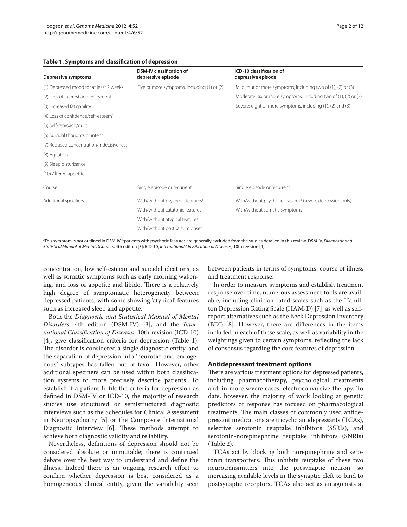#### **Table 1. Symptoms and classification of depression**

| Depressive symptoms                             | DSM-IV classification of<br>depressive episode | ICD-10 classification of<br>depressive episode                        |
|-------------------------------------------------|------------------------------------------------|-----------------------------------------------------------------------|
| (1) Depressed mood for at least 2 weeks         | Five or more symptoms, including (1) or (2)    | Mild: four or more symptoms, including two of (1), (2) or (3)         |
| (2) Loss of interest and enjoyment              |                                                | Moderate: six or more symptoms, including two of (1), (2) or (3)      |
| (3) Increased fatigability                      |                                                | Severe: eight or more symptoms, including (1), (2) and (3)            |
| (4) Loss of confidence/self-esteem <sup>a</sup> |                                                |                                                                       |
| (5) Self-reproach/guilt                         |                                                |                                                                       |
| (6) Suicidal thoughts or intent                 |                                                |                                                                       |
| (7) Reduced concentration/indecisiveness        |                                                |                                                                       |
| (8) Agitation                                   |                                                |                                                                       |
| (9) Sleep disturbance                           |                                                |                                                                       |
| (10) Altered appetite                           |                                                |                                                                       |
| Course                                          | Single episode or recurrent                    | Single episode or recurrent                                           |
| Additional specifiers                           | With/without psychotic features <sup>b</sup>   | With/without psychotic features <sup>b</sup> (severe depression only) |
|                                                 | With/without catatonic features                | With/without somatic symptoms                                         |
|                                                 | With/without atypical features                 |                                                                       |
|                                                 | With/without postpartum onset                  |                                                                       |

<sup>a</sup>This symptom is not outlined in DSM-IV; <sup>b</sup>patients with psychotic features are generally excluded from the studies detailed in this review. DSM-IV, *Diagnostic and Statistical Manual of Mental Disorders*, 4th edition [3]; ICD-10, *International Classification of Diseases*, 10th revision [4].

concentration, low self-esteem and suicidal ideations, as well as somatic symptoms such as early morning wakening, and loss of appetite and libido. There is a relatively high degree of symptomatic heterogeneity between depressed patients, with some showing 'atypical' features such as increased sleep and appetite.

Both the *Diagnostic and Statistical Manual of Mental Disorders*, 4th edition (DSM-IV) [3], and the *International Classification of Diseases*, 10th revision (ICD-10) [4], give classification criteria for depression (Table 1). The disorder is considered a single diagnostic entity, and the separation of depression into 'neurotic' and 'endogenous' subtypes has fallen out of favor. However, other additional specifiers can be used within both classification systems to more precisely describe patients. To establish if a patient fulfils the criteria for depression as defined in DSM-IV or ICD-10, the majority of research studies use structured or semistructured diagnostic interviews such as the Schedules for Clinical Assessment in Neuropsychiatry [5] or the Composite International Diagnostic Interview [6]. These methods attempt to achieve both diagnostic validity and reliability.

Nevertheless, definitions of depression should not be considered absolute or immutable; there is continued debate over the best way to understand and define the illness. Indeed there is an ongoing research effort to confirm whether depression is best considered as a homogeneous clinical entity, given the variability seen between patients in terms of symptoms, course of illness and treatment response.

In order to measure symptoms and establish treatment response over time, numerous assessment tools are available, including clinician-rated scales such as the Hamilton Depression Rating Scale (HAM-D) [7], as well as selfreport alternatives such as the Beck Depression Inventory (BDI) [8]. However, there are differences in the items included in each of these scale, as well as variability in the weightings given to certain symptoms, reflecting the lack of consensus regarding the core features of depression.

#### **Antidepressant treatment options**

There are various treatment options for depressed patients, including pharmacotherapy, psychological treatments and, in more severe cases, electroconvulsive therapy. To date, however, the majority of work looking at genetic predictors of response has focused on pharmacological treatments. The main classes of commonly used antidepressant medications are tricyclic antidepressants (TCAs), selective serotonin reuptake inhibitors (SSRIs), and serotonin-norepinephrine reuptake inhibitors (SNRIs) (Table 2).

TCAs act by blocking both norepinephrine and serotonin transporters. This inhibits reuptake of these two neurotransmitters into the presynaptic neuron, so increasing available levels in the synaptic cleft to bind to postsynaptic receptors. TCAs also act as antagonists at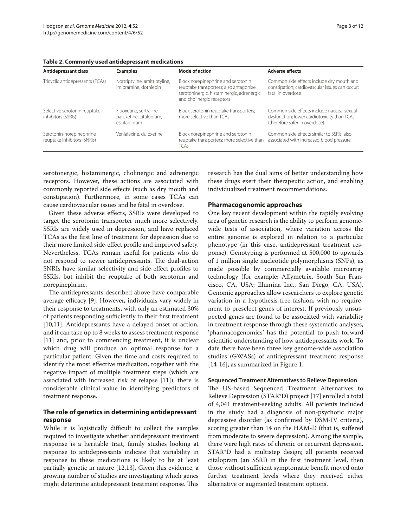| Antidepressant class                                    | <b>Examples</b>                                                    | Mode of action                                                                                                                                         | <b>Adverse effects</b>                                                                                                     |
|---------------------------------------------------------|--------------------------------------------------------------------|--------------------------------------------------------------------------------------------------------------------------------------------------------|----------------------------------------------------------------------------------------------------------------------------|
| Tricyclic antidepressants (TCAs)                        | Nortriptyline, amitriptyline,<br>imipramine, dothiepin             | Block norepinephrine and serotonin<br>reuptake transporters; also antagonize<br>serotoninergic, histaminergic, adrenergic<br>and cholinergic receptors | Common side effects include dry mouth and<br>constipation; cardiovascular issues can occur;<br>fatal in overdose           |
| Selective serotonin reuptake<br>inhibitors (SSRIs)      | Fluoxetine, sertraline,<br>paroxetine, citalopram,<br>escitalopram | Block serotonin reuptake transporters;<br>more selective than TCAs                                                                                     | Common side effects include nausea, sexual<br>dysfunction; lower cardiotoxicity than TCAs<br>(therefore safer in overdose) |
| Serotonin-norepinephrine<br>reuptake inhibitors (SNRIs) | Venlafaxine, duloxetine                                            | Block norepinephrine and serotonin<br>reuptake transporters; more selective than<br><b>TCAs</b>                                                        | Common side effects similar to SSRIs; also<br>associated with increased blood pressure                                     |

serotonergic, histaminergic, cholinergic and adrenergic receptors. However, these actions are associated with commonly reported side effects (such as dry mouth and constipation). Furthermore, in some cases TCAs can cause cardiovascular issues and be fatal in overdose.

Given these adverse effects, SSRIs were developed to target the serotonin transporter much more selectively. SSRIs are widely used in depression, and have replaced TCAs as the first line of treatment for depression due to their more limited side-effect profile and improved safety. Nevertheless, TCAs remain useful for patients who do not respond to newer antidepressants. The dual-action SNRIs have similar selectivity and side-effect profiles to SSRIs, but inhibit the reuptake of both serotonin and norepinephrine.

The antidepressants described above have comparable average efficacy [9]. However, individuals vary widely in their response to treatments, with only an estimated 30% of patients responding sufficiently to their first treatment [10,11]. Antidepressants have a delayed onset of action, and it can take up to 8 weeks to assess treatment response [11] and, prior to commencing treatment, it is unclear which drug will produce an optimal response for a particular patient. Given the time and costs required to identify the most effective medication, together with the negative impact of multiple treatment steps (which are associated with increased risk of relapse [11]), there is considerable clinical value in identifying predictors of treatment response.

# **The role of genetics in determining antidepressant response**

While it is logistically difficult to collect the samples required to investigate whether antidepressant treatment response is a heritable trait, family studies looking at response to antidepressants indicate that variability in response to these medications is likely to be at least partially genetic in nature [12,13]. Given this evidence, a growing number of studies are investigating which genes might determine antidepressant treatment response. This research has the dual aims of better understanding how these drugs exert their therapeutic action, and enabling individualized treatment recommendations.

### **Pharmacogenomic approaches**

One key recent development within the rapidly evolving area of genetic research is the ability to perform genomewide tests of association, where variation across the entire genome is explored in relation to a particular phenotype (in this case, antidepressant treatment response). Genotyping is performed at 500,000 to upwards of 1 million single nucleotide polymorphisms (SNPs), as made possible by commercially available microarray technology (for example: Affymetrix, South San Francisco, CA, USA; Illumina Inc., San Diego, CA, USA). Genomic approaches allow researchers to explore genetic variation in a hypothesis-free fashion, with no requirement to preselect genes of interest. If previously unsuspected genes are found to be associated with variability in treatment response through these systematic analyses, 'pharmacogenomics' has the potential to push forward scientific understanding of how antidepressants work. To date there have been three key genome-wide association studies (GWASs) of antidepressant treatment response [14-16], as summarized in Figure 1.

#### **Sequenced Treatment Alternatives to Relieve Depression**

The US-based Sequenced Treatment Alternatives to Relieve Depression (STAR\*D) project [17] enrolled a total of 4,041 treatment-seeking adults. All patients included in the study had a diagnosis of non-psychotic major depressive disorder (as confirmed by DSM-IV criteria), scoring greater than 14 on the HAM-D (that is, suffered from moderate to severe depression). Among the sample, there were high rates of chronic or recurrent depression. STAR\*D had a multistep design; all patients received citalopram (an SSRI) in the first treatment level, then those without sufficient symptomatic benefit moved onto further treatment levels where they received either alternative or augmented treatment options.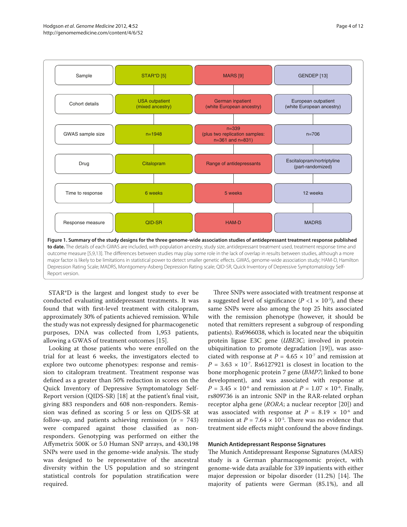

STAR\*D is the largest and longest study to ever be conducted evaluating antidepressant treatments. It was found that with first-level treatment with citalopram, approximately 30% of patients achieved remission. While the study was not expressly designed for pharmacogenetic purposes, DNA was collected from 1,953 patients, allowing a GWAS of treatment outcomes [15].

Looking at those patients who were enrolled on the trial for at least 6 weeks, the investigators elected to explore two outcome phenotypes: response and remission to citalopram treatment. Treatment response was defined as a greater than 50% reduction in scores on the Quick Inventory of Depressive Symptomatology Self-Report version (QIDS-SR) [18] at the patient's final visit, giving 883 responders and 608 non-responders. Remission was defined as scoring 5 or less on QIDS-SR at follow-up, and patients achieving remission  $(n = 743)$ were compared against those classified as nonresponders. Genotyping was performed on either the Affymetrix 500K or 5.0 Human SNP arrays, and 430,198 SNPs were used in the genome-wide analysis. The study was designed to be representative of the ancestral diversity within the US population and so stringent statistical controls for population stratification were required.

Three SNPs were associated with treatment response at a suggested level of significance  $(P < 1 \times 10^{-5})$ , and these same SNPs were also among the top 25 hits associated with the remission phenotype (however, it should be noted that remitters represent a subgroup of responding patients). Rs6966038, which is located near the ubiquitin protein ligase E3C gene (*UBE3C*; involved in protein ubiquitination to promote degradation [19]), was associated with response at  $P = 4.65 \times 10^{-7}$  and remission at  $P = 3.63 \times 10^{-7}$ . Rs6127921 is closest in location to the bone morphogenic protein 7 gene (*BMP7*; linked to bone development), and was associated with response at  $P = 3.45 \times 10^{-6}$  and remission at  $P = 1.07 \times 10^{-6}$ . Finally, rs809736 is an intronic SNP in the RAR-related orphan receptor alpha gene (*RORA*; a nuclear receptor [20]) and was associated with response at  $P = 8.19 \times 10^{-6}$  and remission at  $P = 7.64 \times 10^{-5}$ . There was no evidence that treatment side effects might confound the above findings.

## **Munich Antidepressant Response Signatures**

The Munich Antidepressant Response Signatures (MARS) study is a German pharmacogenomic project, with genome-wide data available for 339 inpatients with either major depression or bipolar disorder (11.2%) [14]. The majority of patients were German (85.1%), and all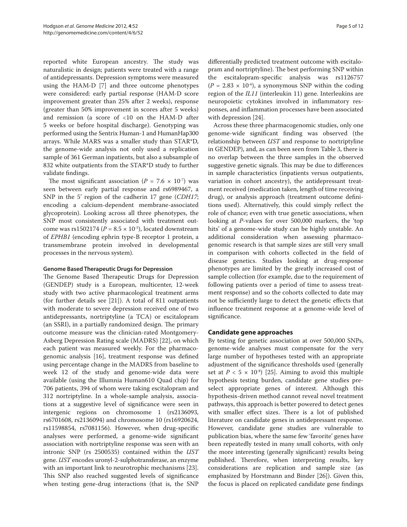reported white European ancestry. The study was naturalistic in design; patients were treated with a range of antidepressants. Depression symptoms were measured using the HAM-D [7] and three outcome phenotypes were considered: early partial response (HAM-D score improvement greater than 25% after 2 weeks), response (greater than 50% improvement in scores after 5 weeks) and remission (a score of <10 on the HAM-D after 5 weeks or before hospital discharge). Genotyping was performed using the Sentrix Human-1 and HumanHap300 arrays. While MARS was a smaller study than STAR\*D, the genome-wide analysis not only used a replication sample of 361 German inpatients, but also a subsample of 832 white outpatients from the STAR\*D study to further validate findings.

The most significant association  $(P = 7.6 \times 10^7)$  was seen between early partial response and rs6989467, a SNP in the 5' region of the cadherin 17 gene (*CDH17*; encoding a calcium-dependent membrane-associated glycoprotein). Looking across all three phenotypes, the SNP most consistently associated with treatment outcome was  $rs1502174 (P = 8.5 \times 10^{-5})$ , located downstream of *EPHB1* (encoding ephrin type-B receptor 1 protein, a transmembrane protein involved in developmental processes in the nervous system).

# **Genome Based Therapeutic Drugs for Depression**

The Genome Based Therapeutic Drugs for Depression (GENDEP) study is a European, multicenter, 12-week study with two active pharmacological treatment arms (for further details see [21]). A total of 811 outpatients with moderate to severe depression received one of two antidepressants, nortriptyline (a TCA) or escitalopram (an SSRI), in a partially randomized design. The primary outcome measure was the clinician-rated Montgomery-Asberg Depression Rating scale (MADRS) [22], on which each patient was measured weekly. For the pharmacogenomic analysis [16], treatment response was defined using percentage change in the MADRS from baseline to week 12 of the study and genome-wide data were available (using the Illumnia Human610 Quad chip) for 706 patients, 394 of whom were taking escitalopram and 312 nortriptyline. In a whole-sample analysis, associations at a suggestive level of significance were seen in intergenic regions on chromosome 1 (rs2136093, rs6701608, rs2136094) and chromosome 10 (rs16920624, rs11598854, rs7081156). However, when drug-specific analyses were performed, a genome-wide significant association with nortriptyline response was seen with an intronic SNP (rs 2500535) contained within the *UST* gene. *UST* encodes uronyl-2-sulphotransferase, an enzyme with an important link to neurotrophic mechanisms [23]. This SNP also reached suggested levels of significance when testing gene-drug interactions (that is, the SNP differentially predicted treatment outcome with escitalopram and nortriptyline). The best performing SNP within the escitalopram-specific analysis was rs1126757  $(P = 2.83 \times 10^{-6})$ , a synonymous SNP within the coding region of the *IL11* (interleukin 11) gene. Interleukins are neuropoietic cytokines involved in inflammatory responses, and inflammation processes have been associated with depression [24].

Across these three pharmacogenomic studies, only one genome-wide significant finding was observed (the relationship between *UST* and response to nortriptyline in GENDEP), and, as can been seen from Table 3, there is no overlap between the three samples in the observed suggestive genetic signals. This may be due to differences in sample characteristics (inpatients versus outpatients, variation in cohort ancestry), the antidepressant treatment received (medication taken, length of time receiving drug), or analysis approach (treatment outcome definitions used). Alternatively, this could simply reflect the role of chance; even with true genetic associations, when looking at *P*-values for over 500,000 markers, the 'top hits' of a genome-wide study can be highly unstable. An additional consideration when assessing pharmacogenomic research is that sample sizes are still very small in comparison with cohorts collected in the field of disease genetics. Studies looking at drug-response phenotypes are limited by the greatly increased cost of sample collection (for example, due to the requirement of following patients over a period of time to assess treatment response) and so the cohorts collected to date may not be sufficiently large to detect the genetic effects that influence treatment response at a genome-wide level of significance.

# **Candidate gene approaches**

By testing for genetic association at over 500,000 SNPs, genome-wide analyses must compensate for the very large number of hypotheses tested with an appropriate adjustment of the significance thresholds used (generally set at  $P < 5 \times 10^{-8}$ ) [25]. Aiming to avoid this multiple hypothesis testing burden, candidate gene studies preselect appropriate genes of interest. Although this hypothesis-driven method cannot reveal novel treatment pathways, this approach is better powered to detect genes with smaller effect sizes. There is a lot of published literature on candidate genes in antidepressant response. However, candidate gene studies are vulnerable to publication bias, where the same few 'favorite' genes have been repeatedly tested in many small cohorts, with only the more interesting (generally significant) results being published. Therefore, when interpreting results, key considerations are replication and sample size (as emphasized by Horstmann and Binder [26]). Given this, the focus is placed on replicated candidate gene findings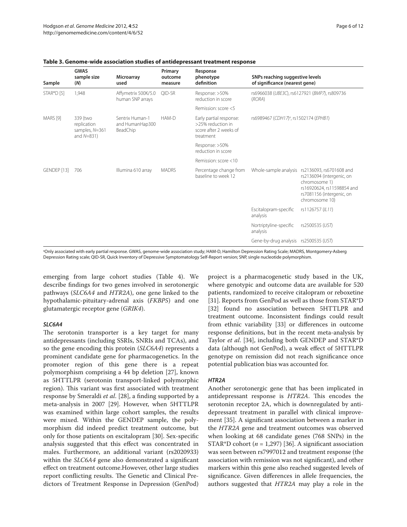| Sample             | <b>GWAS</b><br>sample size<br>(N)                          | <b>Microarray</b><br>used                      | Primary<br>outcome<br>measure | Response<br>phenotype<br>definition                                                 | SNPs reaching suggestive levels<br>of significance (nearest gene) |                                                                                                                                                                           |
|--------------------|------------------------------------------------------------|------------------------------------------------|-------------------------------|-------------------------------------------------------------------------------------|-------------------------------------------------------------------|---------------------------------------------------------------------------------------------------------------------------------------------------------------------------|
| STAR*D [5]         | 1.948                                                      | Affymetrix 500K/5.0<br>human SNP arrays        | OID-SR                        | Response: >50%<br>reduction in score                                                | rs6966038 (UBE3C), rs6127921 (BMP7), rs809736<br>(RORA)           |                                                                                                                                                                           |
|                    |                                                            |                                                |                               | Remission: score <5                                                                 |                                                                   |                                                                                                                                                                           |
| MARS [9]           | 339 (two<br>replication<br>samples, N=361<br>and $N=831$ ) | Sentrix Human-1<br>and HumanHap300<br>BeadChip | HAM-D                         | Early partial response:<br>>25% reduction in<br>score after 2 weeks of<br>treatment | rs6989467 (CDH17) <sup>a</sup> , rs1502174 (EPHB1)                |                                                                                                                                                                           |
|                    |                                                            |                                                |                               | Response: >50%<br>reduction in score                                                |                                                                   |                                                                                                                                                                           |
|                    |                                                            |                                                |                               | Remission: score <10                                                                |                                                                   |                                                                                                                                                                           |
| <b>GENDEP [13]</b> | 706                                                        | Illumina 610 array                             | <b>MADRS</b>                  | Percentage change from<br>baseline to week 12                                       |                                                                   | Whole-sample analysis rs2136093, rs6701608 and<br>rs2136094 (intergenic, on<br>chromosome 1)<br>rs16920624, rs11598854 and<br>rs7081156 (intergenic, on<br>chromosome 10) |
|                    |                                                            |                                                |                               |                                                                                     | Escitalopram-specific<br>analysis                                 | rs1126757 (IL11)                                                                                                                                                          |
|                    |                                                            |                                                |                               |                                                                                     | Nortriptyline-specific<br>analysis                                | rs2500535 (UST)                                                                                                                                                           |
|                    |                                                            |                                                |                               |                                                                                     | Gene-by-drug analysis                                             | rs2500535 (UST)                                                                                                                                                           |

#### **Table 3. Genome-wide association studies of antidepressant treatment response**

a Only associated with early partial response. GWAS, genome-wide association study; HAM-D, Hamilton Depression Rating Scale; MADRS, Montgomery-Asberg Depression Rating scale; QID-SR, Quick Inventory of Depressive Symptomatology Self-Report version; SNP, single nucleotide polymorphism.

emerging from large cohort studies (Table 4). We describe findings for two genes involved in serotonergic pathways (*SLC6A4* and *HTR2A*), one gene linked to the hypothalamic-pituitary-adrenal axis (*FKBP5*) and one glutamatergic receptor gene (*GRIK4*).

#### *SLC6A4*

The serotonin transporter is a key target for many antidepressants (including SSRIs, SNRIs and TCAs), and so the gene encoding this protein (*SLC6A4*) represents a prominent candidate gene for pharmacogenetics. In the promoter region of this gene there is a repeat polymorphism comprising a 44 bp deletion [27], known as 5HTTLPR (serotonin transport-linked polymorphic region). This variant was first associated with treatment response by Smeraldi *et al*. [28], a finding supported by a meta-analysis in 2007 [29]. However, when 5HTTLPR was examined within large cohort samples, the results were mixed. Within the GENDEP sample, the polymorphism did indeed predict treatment outcome, but only for those patients on escitalopram [30]. Sex-specific analysis suggested that this effect was concentrated in males. Furthermore, an additional variant (rs2020933) within the *SLC6A4* gene also demonstrated a significant effect on treatment outcome.However, other large studies report conflicting results. The Genetic and Clinical Predictors of Treatment Response in Depression (GenPod)

project is a pharmacogenetic study based in the UK, where genotypic and outcome data are available for 520 patients, randomized to receive citalopram or reboxetine [31]. Reports from GenPod as well as those from STAR\*D [32] found no association between 5HTTLPR and treatment outcome. Inconsistent findings could result from ethnic variability [33] or differences in outcome response definitions, but in the recent meta-analysis by Taylor *et al*. [34], including both GENDEP and STAR\*D data (although not GenPod), a weak effect of 5HTTLPR genotype on remission did not reach significance once potential publication bias was accounted for.

# *HTR2A*

Another serotonergic gene that has been implicated in antidepressant response is *HTR2A*. This encodes the serotonin receptor 2A, which is downregulated by antidepressant treatment in parallel with clinical improvement [35]. A significant association between a marker in the *HTR2A* gene and treatment outcomes was observed when looking at 68 candidate genes (768 SNPs) in the STAR\*D cohort (*n* = 1,297) [36]. A significant association was seen between rs7997012 and treatment response (the association with remission was not significant), and other markers within this gene also reached suggested levels of significance. Given differences in allele frequencies, the authors suggested that *HTR2A* may play a role in the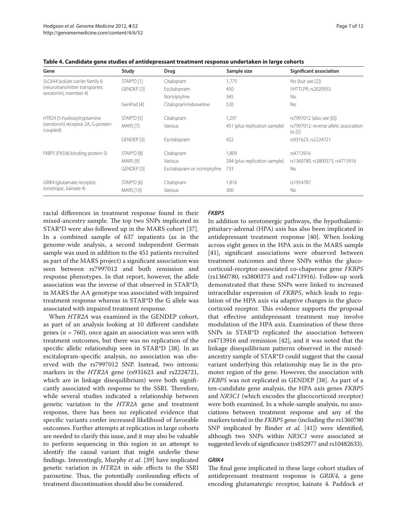| Gene                                                                                       | Study                 | Drug                          | Sample size                   | Significant association                            |
|--------------------------------------------------------------------------------------------|-----------------------|-------------------------------|-------------------------------|----------------------------------------------------|
| SLC6A4 (solute carrier family 6<br>(neurotransmitter transporter,<br>serotonin), member 4) | STAR*D <sub>[1]</sub> | Citalopram                    | 1,775                         | No (but see [2])                                   |
|                                                                                            | GENDEP <sup>[3]</sup> | Escitalopram                  | 450                           | 5HTTLPR, rs2020933                                 |
|                                                                                            |                       | Nortriptyline                 | 345                           | No                                                 |
|                                                                                            | GenPod [4]            | Citalopram/reboxetine         | 520                           | No                                                 |
| HTR2A (5-hydroxytryptamine<br>(serotonin) receptor 2A, G-protein-<br>coupled)              | STAR*D <sub>[5]</sub> | Citalopram                    | 1,297                         | rs7997012 (also see [6])                           |
|                                                                                            | MARS [7]              | Various                       | 451 (plus replication sample) | rs7997012: reverse allelic association<br>to $[5]$ |
|                                                                                            | GENDEP <sup>[3]</sup> | Escitalopram                  | 422                           | rs931623, rs2224721                                |
| FKBP5 (FK506 binding protein 5)                                                            | STAR*D <sub>[8]</sub> | Citalopram                    | 1,809                         | rs4713916                                          |
|                                                                                            | MARS [9]              | Various                       | 294 (plus replication sample) | rs1360780, rs3800373, rs4713916                    |
|                                                                                            | GENDEP <sup>[3]</sup> | Escitalopram or nortriptyline | 733                           | No                                                 |
| GRIK4 (glutamate receptor,                                                                 | STAR*D <sub>[6]</sub> | Citalopram                    | 1,816                         | rs1954787                                          |
| ionotropic, kainate 4)                                                                     | <b>MARS [10]</b>      | Various                       | 300                           | No                                                 |

**Table 4. Candidate gene studies of antidepressant treatment response undertaken in large cohorts**

racial differences in treatment response found in their mixed-ancestry sample. The top two SNPs implicated in STAR\*D were also followed up in the MARS cohort [37]. In a combined sample of 637 inpatients (as in the genome-wide analysis, a second independent German sample was used in addition to the 451 patients recruited as part of the MARS project) a significant association was seen between rs7997012 and both remission and response phenotypes. In that report, however, the allele association was the inverse of that observed in STAR\*D; in MARS the AA genotype was associated with impaired treatment response whereas in STAR\*D the G allele was associated with impaired treatment response.

When *HTR2A* was examined in the GENDEP cohort, as part of an analysis looking at 10 different candidate genes (*n* = 760), once again an association was seen with treatment outcomes, but there was no replication of the specific allelic relationship seen in STAR\*D [38]. In an escitalopram-specific analysis, no association was observed with the rs7997012 SNP. Instead, two intronic markers in the *HTR2A* gene (rs931623 and rs2224721, which are in linkage disequilibrium) were both significantly associated with response to the SSRI. Therefore, while several studies indicated a relationship between genetic variation in the *HTR2A* gene and treatment response, there has been no replicated evidence that specific variants confer increased likelihood of favorable outcomes. Further attempts at replication in large cohorts are needed to clarify this issue, and it may also be valuable to perform sequencing in this region in an attempt to identify the causal variant that might underlie these findings. Interestingly, Murphy *et al*. [39] have implicated genetic variation in *HTR2A* in side effects to the SSRI paroxetine. Thus, the potentially confounding effects of treatment discontinuation should also be considered.

# *FKBP5*

In addition to serotonergic pathways, the hypothalamicpituitary-adrenal (HPA) axis has also been implicated in antidepressant treatment response [40]. When looking across eight genes in the HPA axis in the MARS sample [41], significant associations were observed between treatment outcomes and three SNPs within the glucocorticoid-receptor-associated co-chaperone gene *FKBP5* (rs1360780, rs3800373 and rs4713916). Follow-up work demonstrated that these SNPs were linked to increased intracellular expression of *FKBP5*, which leads to regulation of the HPA axis via adaptive changes in the glucocorticoid receptor. This evidence supports the proposal that effective antidepressant treatment may involve modulation of the HPA axis. Examination of these three SNPs in STAR\*D replicated the association between rs4713916 and remission [42], and it was noted that the linkage disequilibrium patterns observed in the mixedancestry sample of STAR\*D could suggest that the causal variant underlying this relationship may lie in the promoter region of the gene. However, the association with *FKBP5* was not replicated in GENDEP [38]. As part of a ten-candidate gene analysis, the HPA axis genes *FKBP5* and *NR3C1* (which encodes the glucocorticoid receptor) were both examined. In a whole-sample analysis, no associations between treatment response and any of the markers tested in the *FKBP5* gene (including the rs1360780 SNP implicated by Binder *et al.* [41]) were identified, although two SNPs within *NR3C1* were associated at suggested levels of significance (rs852977 and rs10482633).

#### *GRIK4*

The final gene implicated in these large cohort studies of antidepressant treatment response is *GRIK4*, a gene encoding glutamatergic receptor, kainate 4. Paddock *et*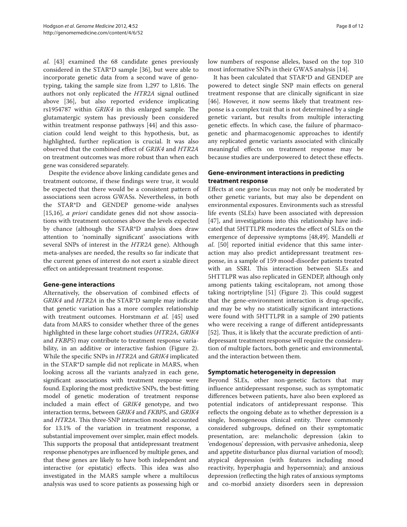*al.* [43] examined the 68 candidate genes previously considered in the STAR\*D sample [36], but were able to incorporate genetic data from a second wave of genotyping, taking the sample size from 1,297 to 1,816. The authors not only replicated the *HTR2A* signal outlined above [36], but also reported evidence implicating rs1954787 within *GRIK4* in this enlarged sample. The glutamatergic system has previously been considered within treatment response pathways [44] and this association could lend weight to this hypothesis, but, as highlighted, further replication is crucial. It was also observed that the combined effect of *GRIK4* and *HTR2A*  on treatment outcomes was more robust than when each gene was considered separately.

Despite the evidence above linking candidate genes and treatment outcome, if these findings were true, it would be expected that there would be a consistent pattern of associations seen across GWASs. Nevertheless, in both the STAR\*D and GENDEP genome-wide analyses [15,16], *a priori* candidate genes did not show associations with treatment outcomes above the levels expected by chance (although the STAR\*D analysis does draw attention to 'nominally significant' associations with several SNPs of interest in the *HTR2A* gene). Although meta-analyses are needed, the results so far indicate that the current genes of interest do not exert a sizable direct effect on antidepressant treatment response.

# **Gene-gene interactions**

Alternatively, the observation of combined effects of *GRIK4* and *HTR2A* in the STAR\*D sample may indicate that genetic variation has a more complex relationship with treatment outcomes. Horstmann *et al.* [45] used data from MARS to consider whether three of the genes highlighted in these large cohort studies (*HTR2A*, *GRIK4* and *FKBP5*) may contribute to treatment response variability, in an additive or interactive fashion (Figure 2). While the specific SNPs in *HTR2A* and *GRIK4* implicated in the STAR\*D sample did not replicate in MARS, when looking across all the variants analyzed in each gene, significant associations with treatment response were found. Exploring the most predictive SNPs, the best-fitting model of genetic moderation of treatment response included a main effect of *GRIK4* genotype, and two interaction terms, between *GRIK4* and *FKBP5*, and *GRIK4* and *HTR2A*. This three-SNP interaction model accounted for 13.1% of the variation in treatment response, a substantial improvement over simpler, main effect models. This supports the proposal that antidepressant treatment response phenotypes are influenced by multiple genes, and that these genes are likely to have both independent and interactive (or epistatic) effects. This idea was also investigated in the MARS sample where a multilocus analysis was used to score patients as possessing high or low numbers of response alleles, based on the top 310 most informative SNPs in their GWAS analysis [14].

It has been calculated that STAR\*D and GENDEP are powered to detect single SNP main effects on general treatment response that are clinically significant in size [46]. However, it now seems likely that treatment response is a complex trait that is not determined by a single genetic variant, but results from multiple interacting genetic effects. In which case, the failure of pharmacogenetic and pharmacogenomic approaches to identify any replicated genetic variants associated with clinically meaningful effects on treatment response may be because studies are underpowered to detect these effects.

# **Gene-environment interactions in predicting treatment response**

Effects at one gene locus may not only be moderated by other genetic variants, but may also be dependent on environmental exposures. Environments such as stressful life events (SLEs) have been associated with depression [47], and investigations into this relationship have indicated that 5HTTLPR moderates the effect of SLEs on the emergence of depressive symptoms [48,49]. Mandelli *et al*. [50] reported initial evidence that this same interaction may also predict antidepressant treatment response, in a sample of 159 mood-disorder patients treated with an SSRI. This interaction between SLEs and 5HTTLPR was also replicated in GENDEP, although only among patients taking escitalopram, not among those taking nortriptyline [51] (Figure 2). This could suggest that the gene-environment interaction is drug-specific, and may be why no statistically significant interactions were found with 5HTTLPR in a sample of 290 patients who were receiving a range of different antidepressants [52]. Thus, it is likely that the accurate prediction of antidepressant treatment response will require the consideration of multiple factors, both genetic and environmental, and the interaction between them.

#### **Symptomatic heterogeneity in depression**

Beyond SLEs, other non-genetic factors that may influence antidepressant response, such as symptomatic differences between patients, have also been explored as potential indicators of antidepressant response. This reflects the ongoing debate as to whether depression is a single, homogeneous clinical entity. Three commonly considered subgroups, defined on their symptomatic presentation, are: melancholic depression (akin to 'endogenous' depression, with pervasive anhedonia, sleep and appetite disturbance plus diurnal variation of mood); atypical depression (with features including mood reactivity, hyperphagia and hypersomnia); and anxious depression (reflecting the high rates of anxious symptoms and co-morbid anxiety disorders seen in depression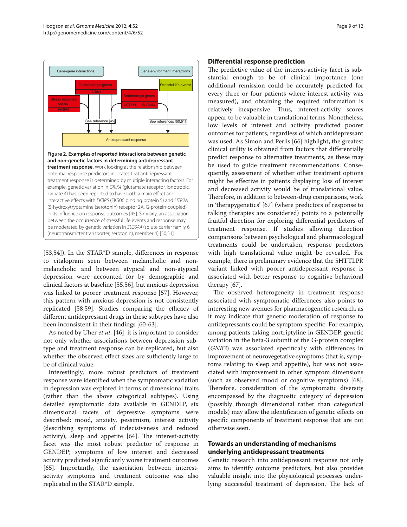

[53,54]). In the STAR\*D sample, differences in response to citalopram seen between melancholic and nonmelancholic and between atypical and non-atypical depression were accounted for by demographic and clinical factors at baseline [55,56], but anxious depression was linked to poorer treatment response [57]. However, this pattern with anxious depression is not consistently replicated [58,59]. Studies comparing the efficacy of different antidepressant drugs in these subtypes have also been inconsistent in their findings [60-63].

As noted by Uher *et al*. [46], it is important to consider not only whether associations between depression subtype and treatment response can be replicated, but also whether the observed effect sizes are sufficiently large to be of clinical value.

Interestingly, more robust predictors of treatment response were identified when the symptomatic variation in depression was explored in terms of dimensional traits (rather than the above categorical subtypes). Using detailed symptomatic data available in GENDEP, six dimensional facets of depressive symptoms were described: mood, anxiety, pessimism, interest activity (describing symptoms of indecisiveness and reduced activity), sleep and appetite [64]. The interest-activity facet was the most robust predictor of response in GENDEP; symptoms of low interest and decreased activity predicted significantly worse treatment outcomes [65]. Importantly, the association between interestactivity symptoms and treatment outcome was also replicated in the STAR\*D sample.

# **Differential response prediction**

The predictive value of the interest-activity facet is substantial enough to be of clinical importance (one additional remission could be accurately predicted for every three or four patients where interest activity was measured), and obtaining the required information is relatively inexpensive. Thus, interest-activity scores appear to be valuable in translational terms. Nonetheless, low levels of interest and activity predicted poorer outcomes for patients, regardless of which antidepressant was used. As Simon and Perlis [66] highlight, the greatest clinical utility is obtained from factors that differentially predict response to alternative treatments, as these may be used to guide treatment recommendations. Consequently, assessment of whether other treatment options might be effective in patients displaying loss of interest and decreased activity would be of translational value. Therefore, in addition to between-drug comparisons, work in 'therapygenetics' [67] (where predictors of response to talking therapies are considered) points to a potentially fruitful direction for exploring differential predictors of treatment response. If studies allowing direction comparisons between psychological and pharmacological treatments could be undertaken, response predictors with high translational value might be revealed. For example, there is preliminary evidence that the 5HTTLPR variant linked with poorer antidepressant response is associated with better response to cognitive behavioral therapy [67].

The observed heterogeneity in treatment response associated with symptomatic differences also points to interesting new avenues for pharmacogenetic research, as it may indicate that genetic moderation of response to antidepressants could be symptom-specific. For example, among patients taking nortriptyline in GENDEP, genetic variation in the beta-3 subunit of the G-protein complex (*GNB3*) was associated specifically with differences in improvement of neurovegetative symptoms (that is, symptoms relating to sleep and appetite), but was not associated with improvement in other symptom dimensions (such as observed mood or cognitive symptoms) [68]. Therefore, consideration of the symptomatic diversity encompassed by the diagnostic category of depression (possibly through dimensional rather than categorical models) may allow the identification of genetic effects on specific components of treatment response that are not otherwise seen.

# **Towards an understanding of mechanisms underlying antidepressant treatments**

Genetic research into antidepressant response not only aims to identify outcome predictors, but also provides valuable insight into the physiological processes underlying successful treatment of depression. The lack of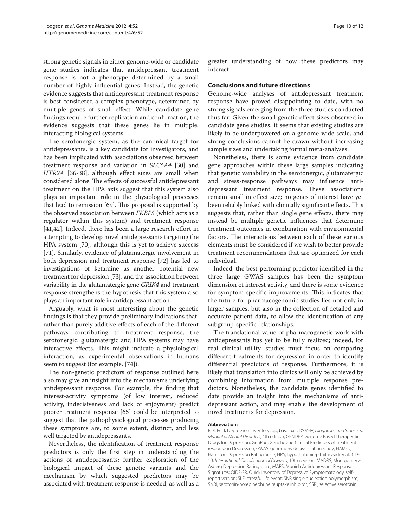strong genetic signals in either genome-wide or candidate gene studies indicates that antidepressant treatment response is not a phenotype determined by a small number of highly influential genes. Instead, the genetic evidence suggests that antidepressant treatment response is best considered a complex phenotype, determined by multiple genes of small effect. While candidate gene findings require further replication and confirmation, the evidence suggests that these genes lie in multiple, interacting biological systems.

The serotonergic system, as the canonical target for antidepressants, is a key candidate for investigators, and has been implicated with associations observed between treatment response and variation in *SLC6A4* [30] and *HTR2A* [36-38], although effect sizes are small when considered alone. The effects of successful antidepressant treatment on the HPA axis suggest that this system also plays an important role in the physiological processes that lead to remission [69]. This proposal is supported by the observed association between *FKBP5* (which acts as a regulator within this system) and treatment response [41,42]. Indeed, there has been a large research effort in attempting to develop novel antidepressants targeting the HPA system [70], although this is yet to achieve success [71]. Similarly, evidence of glutamatergic involvement in both depression and treatment response [72] has led to investigations of ketamine as another potential new treatment for depression [73], and the association between variability in the glutamatergic gene *GRIK4* and treatment response strengthens the hypothesis that this system also plays an important role in antidepressant action.

Arguably, what is most interesting about the genetic findings is that they provide preliminary indications that, rather than purely additive effects of each of the different pathways contributing to treatment response, the serotonergic, glutamatergic and HPA systems may have interactive effects. This might indicate a physiological interaction, as experimental observations in humans seem to suggest (for example, [74]).

The non-genetic predictors of response outlined here also may give an insight into the mechanisms underlying antidepressant response. For example, the finding that interest-activity symptoms (of low interest, reduced activity, indecisiveness and lack of enjoyment) predict poorer treatment response [65] could be interpreted to suggest that the pathophysiological processes producing these symptoms are, to some extent, distinct, and less well targeted by antidepressants.

Nevertheless, the identification of treatment response predictors is only the first step in understanding the actions of antidepressants; further exploration of the biological impact of these genetic variants and the mechanism by which suggested predictors may be associated with treatment response is needed, as well as a

greater understanding of how these predictors may interact.

#### **Conclusions and future directions**

Genome-wide analyses of antidepressant treatment response have proved disappointing to date, with no strong signals emerging from the three studies conducted thus far. Given the small genetic effect sizes observed in candidate gene studies, it seems that existing studies are likely to be underpowered on a genome-wide scale, and strong conclusions cannot be drawn without increasing sample sizes and undertaking formal meta-analyses.

Nonetheless, there is some evidence from candidate gene approaches within these large samples indicating that genetic variability in the serotonergic, glutamatergic and stress-response pathways may influence antidepressant treatment response. These associations remain small in effect size; no genes of interest have yet been reliably linked with clinically significant effects. This suggests that, rather than single gene effects, there may instead be multiple genetic influences that determine treatment outcomes in combination with environmental factors. The interactions between each of these various elements must be considered if we wish to better provide treatment recommendations that are optimized for each individual.

Indeed, the best-performing predictor identified in the three large GWAS samples has been the symptom dimension of interest activity, and there is some evidence for symptom-specific improvements. This indicates that the future for pharmacogenomic studies lies not only in larger samples, but also in the collection of detailed and accurate patient data, to allow the identification of any subgroup-specific relationships.

The translational value of pharmacogenetic work with antidepressants has yet to be fully realized; indeed, for real clinical utility, studies must focus on comparing different treatments for depression in order to identify differential predictors of response. Furthermore, it is likely that translation into clinics will only be achieved by combining information from multiple response predictors. Nonetheless, the candidate genes identified to date provide an insight into the mechanisms of antidepressant action, and may enable the development of novel treatments for depression.

#### **Abbreviations**

BDI, Beck Depression Inventory; bp, base pair; DSM-IV, *Diagnostic and Statistical Manual of Mental Disorders*, 4th edition; GENDEP: Genome Based Therapeutic Drugs for Depression; GenPod, Genetic and Clinical Predictors of Treatment response in Depression; GWAS, genome-wide association study; HAM-D, Hamilton Depression Rating Scale; HPA, hypothalamic-pituitary-adrenal; ICD-10, *International Classification of Diseases*, 10th revision; MADRS, Montgomery-Asberg Depression Rating scale; MARS, Munich Antidepressant Response Signatures; QIDS-SR, Quick Inventory of Depressive Symptomatology, selfreport version; SLE, stressful life event; SNP, single nucleotide polymorphism; SNRI, serotonin-norepinephrine reuptake inhibitor; SSRI, selective serotonin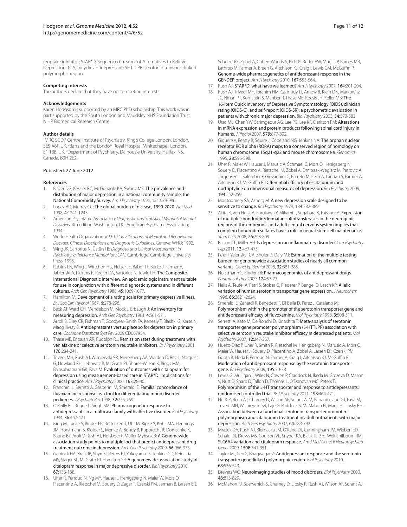reuptake inhibitor; STAR\*D, Sequenced Treatment Alternatives to Relieve Depression; TCA, tricyclic antidepressant; 5HTTLPR, serotonin transport-linked polymorphic region.

#### **Competing interests**

The authors declare that they have no competing interests.

#### **Acknowledgements**

Karen Hodgson is supported by an MRC PhD scholarship. This work was in part supported by the South London and Maudsley NHS Foundation Trust NIHR Biomedical Research Centre.

#### **Author details**

1 MRC SGDP Centre, Institute of Psychiatry, King's College London, London, SE5 A8F, UK. <sup>2</sup>Barts and the London Royal Hospital, Whitechapel, London, E1 1BB, UK.<sup>3</sup> Department of Psychiatry, Dalhousie University, Halifax, NS, Canada, B3H 2E2.

#### Published: 27 June 2012

#### **References**

- 1. Blazer DG, Kessler RC, McGonagle KA, Swartz MS: The prevalence and distribution of major depression in a national community sample: the National Comorbidity Survey. *Am J Psychiatry* 1994, 151:979-986.
- 2. Lopez AD, Murray CC: The global burden of disease, 1990-2020. *Nat Med*  1998, 4:1241-1243.
- 3. American Psychiatric Association: *Diagnostic and Statistical Manual of Mental Disorders.* 4th edition. Washington, DC: American Psychiatric Association; 1994.
- 4. World Health Organization: *ICD-10 Classifications of Mental and Behavioural Disorder: Clinical Descriptions and Diagnostic Guidelines.* Geneva: WHO; 1992.
- 5. Wing JK, Sartorius N, Üstün TB: *Diagnosis and Clinical Measurement in Psychiatry: a Reference Manual for SCAN.* Cambridge: Cambridge University Press; 1998.
- 6. Robins LN, Wing J, Wittchen HU, Helzer JE, Babor TF, Burke J, Farmer A, Jablenski A, Pickens R, Regier DA, Sartorius N, Towle LH: The Composite International Diagnostic Interview. An epidemiologic instrument suitable for use in conjunction with different diagnostic systems and in different cultures. *Arch Gen Psychiatry* 1988, 45:1069-1077.
- 7. Hamilton M: Development of a rating scale for primary depressive illness. *Br J Soc Clin Psychol* 1967, 6:278-296.
- 8. Beck AT, Ward CH, Mendelson M, Mock J, Erbaugh J: An inventory for measuring depression. *Arch Gen Psychiatry* 1961, 4:561-571.
- 9. Arroll B, Elley CR, Fishman T, Goodyear-Smith FA, Kenealy T, Blashki G, Kerse N, Macgillivray S: Antidepressants versus placebo for depression in primary care. *Cochrane Database Syst Rev* 2009:CD007954.
- 10. Thase ME, Entsuah AR, Rudolph RL: Remission rates during treatment with venlafaxine or selective serotonin reuptake inhibitors. *Br J Psychiatry* 2001, 178:234-241.
- 11. Trivedi MH, Rush AJ, Wisniewski SR, Nierenberg AA, Warden D, Ritz L, Norquist G, Howland RH, Lebowitz B, McGrath PJ, Shores-Wilson K, Biggs MM, Balasubramani GK, Fava M: Evaluation of outcomes with citalopram for depression using measurement-based care in STAR\*D: implications for clinical practice. *Am J Psychiatry* 2006, 163:28-40.
- 12. Franchini L, Serretti A, Gasperini M, Smeraldi E: Familial concordance of fluvoxamine response as a tool for differentiating mood disorder pedigrees. *J Psychiatr Res* 1998, 32:255-259.
- 13. O'Reilly RL, Bogue L, Singh SM: Pharmacogenetic response to antidepressants in a multicase family with affective disorder. *Biol Psychiatry*  1994, 36:467-471.
- 14. Ising M, Lucae S, Binder EB, Bettecken T, Uhr M, Ripke S, Kohli MA, Hennings JM, Horstmann S, Kloiber S, Menke A, Bondy B, Rupprecht R, Domschke K, Baune BT, Arolt V, Rush AJ, Holsboer F, Muller-Myhsok B: A Genomewide association study points to multiple loci that predict antidepressant drug treatment outcome in depression. *Arch Gen Psychiatry* 2009, 66:966-975.
- 15. Garriock HA, Kraft JB, Shyn SI, Peters EJ, Yokoyama JS, Jenkins GD, Reinalda MS, Slager SL, McGrath PJ, Hamilton SP: A genomewide association study of citalopram response in major depressive disorder. *Biol Psychiatry* 2010, 67:133-138.
- 16. Uher R, Perroud N, Ng MY, Hauser J, Henigsberg N, Maier W, Mors O, Placentino A, Rietschel M, Souery D, Zagar T, Czerski PM, Jerman B, Larsen ER,

Schulze TG, Zobel A, Cohen-Woods S, Pirlo K, Butler AW, Muglia P, Barnes MR, Lathrop M, Farmer A, Breen G, Aitchison KJ, Craig I, Lewis CM, McGuffin P: Genome-wide pharmacogenetics of antidepressant response in the GENDEP project. *Am J Psychiatry* 2010, 167:555-564.

- 17. Rush AJ: STAR\*D: what have we learned? *Am J Psychiatry* 2007, 164:201-204.
- 18. Rush AJ, Trivedi MH, Ibrahim HM, Carmody TJ, Arnow B, Klein DN, Markowitz JC, Ninan PT, Kornstein S, Manber R, Thase ME, Kocsis JH, Keller MB: The 16-Item Quick Inventory of Depressive Symptomatology (QIDS), clinician rating (QIDS-C), and self-report (QIDS-SR): a psychometric evaluation in patients with chronic major depression. *Biol Psychiatry* 2003, 54:573-583.
- 19. Urso ML, Chen YW, Scrimgeour AG, Lee PC, Lee KF, Clarkson PM: Alterations in mRNA expression and protein products following spinal cord injury in humans. *J Physiol* 2007, 579:877-892.
- 20. Giguere V, Beatty B, Squire J, Copeland NG, Jenkins NA: The orphan nuclear receptor ROR alpha (RORA) maps to a conserved region of homology on human chromosome 15q21-q22 and mouse chromosome 9. *Genomics*  1995, 28:596-598.
- 21. Uher R, Maier W, Hauser J, Marusic A, Schmael C, Mors O, Henigsberg N, Souery D, Placentino A, Rietschel M, Zobel A, Dmitrzak-Weglarz M, Petrovic A, Jorgensen L, Kalember P, Giovannini C, Barreto M, Elkin A, Landau S, Farmer A, Aitchison KJ, McGuffin P: Differential efficacy of escitalopram and nortriptyline on dimensional measures of depression. *Br J Psychiatry* 2009, 194:252-259.
- 22. Montgomery SA, Asberg M: A new depression scale designed to be sensitive to change. *Br J Psychiatry* 1979, 134:382-389.
- 23. Akita K, von Holst A, Furukawa Y, Mikami T, Sugahara K, Faissner A: Expression of multiple chondroitin/dermatan sulfotransferases in the neurogenic regions of the embryonic and adult central nervous system implies that complex chondroitin sulfates have a role in neural stem cell maintenance. *Stem Cells* 2008, 26:798-809.
- 24. Raison CL, Miller AH: Is depression an inflammatory disorder? *Curr Psychiatry Rep* 2011, 13:467-475.
- 25. Pe'er I, Yelensky R, Altshuler D, Daly MJ: Estimation of the multiple testing burden for genomewide association studies of nearly all common variants. *Genet Epidemiol* 2008, 32:381-385.
- 26. Horstmann S, Binder EB: Pharmacogenomics of antidepressant drugs. *Pharmacol Ther* 2009, 124:57-73.
- 27. Heils A, Teufel A, Petri S, Stober G, Riederer P, Bengel D, Lesch KP: Allelic variation of human serotonin transporter gene expression. *J Neurochem*  1996, 66:2621-2624.
- 28. Smeraldi E, Zanardi R, Benedetti F, Di Bella D, Perez J, Catalano M: Polymorphism within the promoter of the serotonin transporter gene and antidepressant efficacy of fluvoxamine. *Mol Psychiatry* 1998, 3:508-511.
- 29. Serretti A, Kato M, De Ronchi D, Kinoshita T: Meta-analysis of serotonin transporter gene promoter polymorphism (5-HTTLPR) association with selective serotonin reuptake inhibitor efficacy in depressed patients. *Mol Psychiatry* 2007, 12:247-257.
- 30. Huezo-Diaz P, Uher R, Smith R, Rietschel M, Henigsberg N, Marusic A, Mors O, Maier W, Hauser J, Souery D, Placentino A, Zobel A, Larsen ER, Czerski PM, Gupta B, Hoda F, Perroud N, Farmer A, Craig I, Aitchison KJ, McGuffin P: Moderation of antidepressant response by the serotonin transporter gene. *Br J Psychiatry* 2009, 195:30-38.
- 31. Lewis G, Mulligan J, Wiles N, Cowen P, Craddock N, Ikeda M, Grozeva D, Mason V, Nutt D, Sharp D, Tallon D, Thomas L, O'Donovan MC, Peters TJ: Polymorphism of the 5-HT transporter and response to antidepressants: randomised controlled trial. *Br J Psychiatry* 2011, 198:464-471.
- 32. Hu X-Z, Rush AJ, Charney D, Wilson AF, Sorant AJM, Papanicolaou GJ, Fava M, Trivedi MH, Wisniewski SR, Laje G, Paddock S, McMahon FJ, Manji H, Lipsky RH: Association between a functional serotonin transporter promoter polymorphism and citalopram treatment in adult outpatients with major depression. *Arch Gen Psychiatry* 2007, 64:783-792.
- 33. Mrazek DA, Rush AJ, Biernacka JM, O'Kane DJ, Cunningham JM, Wieben ED, Schaid DJ, Drews MS, Courson VL, Snyder KA, Black JL, 3rd, Weinshilboum RM: SLC6A4 variation and citalopram response. *Am J Med Genet B Neuropsychiatr Genet* 2009, 150B:341-351.
- 34. Taylor MJ, Sen S, Bhagwagar Z: Antidepressant response and the serotonin transporter gene-linked polymorphic region. *Biol Psychiatry* 2010, 68:536-543.
- 35. Drevets WC: Neuroimaging studies of mood disorders. *Biol Psychiatry* 2000, 48:813-829.
- 36. McMahon FJ, Buervenich S, Charney D, Lipsky R, Rush AJ, Wilson AF, Sorant AJ,